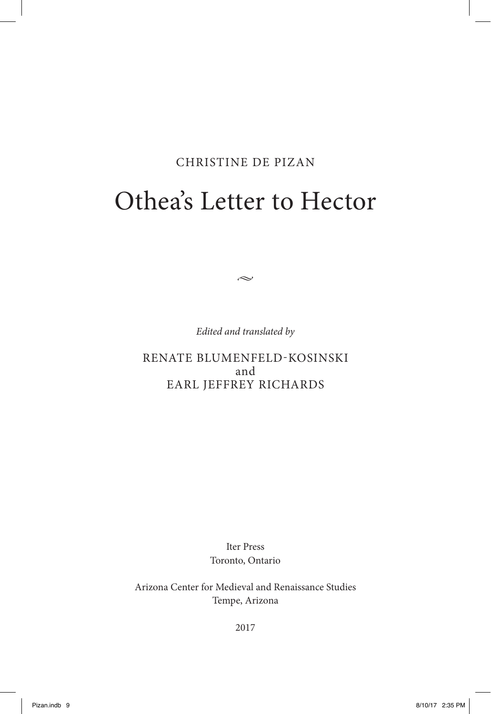CHRISTINE DE PIZAN

# Othea's Letter to Hector

 $\sim$ 

*Edited and translated by*

RENATE BLUMENFELD-KOSINSKI and EARL JEFFREY RICHARDS

> Iter Press Toronto, Ontario

Arizona Center for Medieval and Renaissance Studies Tempe, Arizona

2017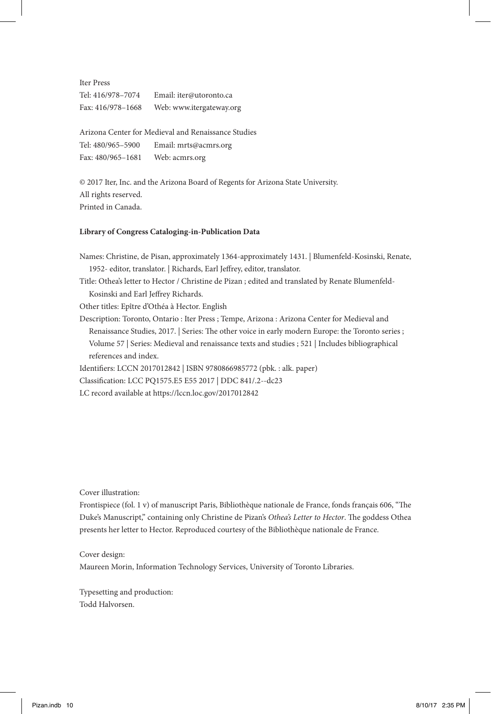Iter Press Tel: 416/978–7074 Email: iter@utoronto.ca Fax: 416/978–1668 Web: www.itergateway.org

Arizona Center for Medieval and Renaissance Studies Tel: 480/965–5900 Email: mrts@acmrs.org Fax: 480/965–1681 Web: acmrs.org

© 2017 Iter, Inc. and the Arizona Board of Regents for Arizona State University. All rights reserved. Printed in Canada.

#### **Library of Congress Cataloging-in-Publication Data**

Names: Christine, de Pisan, approximately 1364-approximately 1431. | Blumenfeld-Kosinski, Renate, 1952- editor, translator. | Richards, Earl Jeffrey, editor, translator.

Title: Othea's letter to Hector / Christine de Pizan ; edited and translated by Renate Blumenfeld-Kosinski and Earl Jeffrey Richards.

Other titles: Epître d'Othéa à Hector. English

Description: Toronto, Ontario : Iter Press ; Tempe, Arizona : Arizona Center for Medieval and Renaissance Studies, 2017. | Series: The other voice in early modern Europe: the Toronto series ; Volume 57 | Series: Medieval and renaissance texts and studies ; 521 | Includes bibliographical references and index.

Identifiers: LCCN 2017012842 | ISBN 9780866985772 (pbk. : alk. paper)

Classification: LCC PQ1575.E5 E55 2017 | DDC 841/.2--dc23

LC record available at https://lccn.loc.gov/2017012842

Cover illustration:

Frontispiece (fol. 1 v) of manuscript Paris, Bibliothèque nationale de France, fonds français 606, "The Duke's Manuscript," containing only Christine de Pizan's *Othea's Letter to Hector*. The goddess Othea presents her letter to Hector. Reproduced courtesy of the Bibliothèque nationale de France.

#### Cover design:

Maureen Morin, Information Technology Services, University of Toronto Libraries.

Typesetting and production: Todd Halvorsen.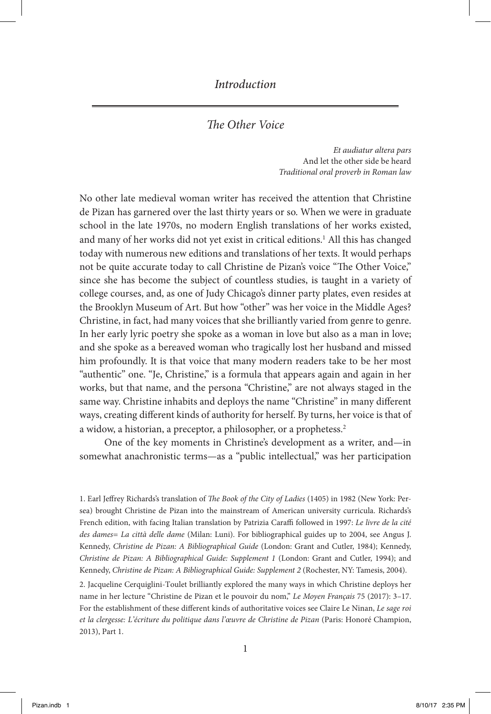## *The Other Voice*

*Et audiatur altera pars* And let the other side be heard *Traditional oral proverb in Roman law*

No other late medieval woman writer has received the attention that Christine de Pizan has garnered over the last thirty years or so. When we were in graduate school in the late 1970s, no modern English translations of her works existed, and many of her works did not yet exist in critical editions.<sup>1</sup> All this has changed today with numerous new editions and translations of her texts. It would perhaps not be quite accurate today to call Christine de Pizan's voice "The Other Voice," since she has become the subject of countless studies, is taught in a variety of college courses, and, as one of Judy Chicago's dinner party plates, even resides at the Brooklyn Museum of Art. But how "other" was her voice in the Middle Ages? Christine, in fact, had many voices that she brilliantly varied from genre to genre. In her early lyric poetry she spoke as a woman in love but also as a man in love; and she spoke as a bereaved woman who tragically lost her husband and missed him profoundly. It is that voice that many modern readers take to be her most "authentic" one. "Je, Christine," is a formula that appears again and again in her works, but that name, and the persona "Christine," are not always staged in the same way. Christine inhabits and deploys the name "Christine" in many different ways, creating different kinds of authority for herself. By turns, her voice is that of a widow, a historian, a preceptor, a philosopher, or a prophetess.<sup>2</sup>

One of the key moments in Christine's development as a writer, and—in somewhat anachronistic terms—as a "public intellectual," was her participation

1. Earl Jeffrey Richards's translation of *The Book of the City of Ladies* (1405) in 1982 (New York: Persea) brought Christine de Pizan into the mainstream of American university curricula. Richards's French edition, with facing Italian translation by Patrizia Caraffi followed in 1997: *Le livre de la cité des dames= La città delle dame* (Milan: Luni). For bibliographical guides up to 2004, see Angus J. Kennedy, *Christine de Pizan: A Bibliographical Guide* (London: Grant and Cutler, 1984); Kennedy, *Christine de Pizan: A Bibliographical Guide: Supplement 1* (London: Grant and Cutler, 1994); and Kennedy, *Christine de Pizan: A Bibliographical Guide: Supplement 2* (Rochester, NY: Tamesis, 2004).

2. Jacqueline Cerquiglini-Toulet brilliantly explored the many ways in which Christine deploys her name in her lecture "Christine de Pizan et le pouvoir du nom," *Le Moyen Français* 75 (2017): 3–17. For the establishment of these different kinds of authoritative voices see Claire Le Ninan, *Le sage roi et la clergesse: L'écriture du politique dans l'œuvre de Christine de Pizan* (Paris: Honoré Champion, 2013), Part 1.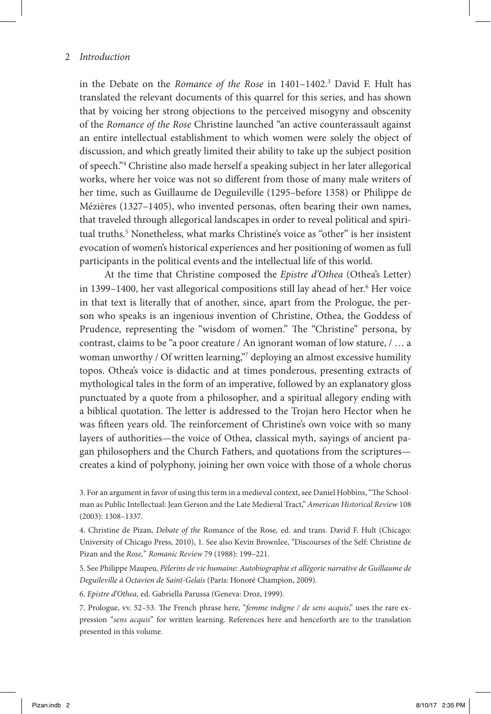in the Debate on the *Romance of the R*o*se* in 1401–1402.3 David F. Hult has translated the relevant documents of this quarrel for this series, and has shown that by voicing her strong objections to the perceived misogyny and obscenity of the *Romance of the Rose* Christine launched "an active counterassault against an entire intellectual establishment to which women were solely the object of discussion, and which greatly limited their ability to take up the subject position of speech."4 Christine also made herself a speaking subject in her later allegorical works, where her voice was not so different from those of many male writers of her time, such as Guillaume de Deguileville (1295–before 1358) or Philippe de Mézières (1327–1405), who invented personas, often bearing their own names, that traveled through allegorical landscapes in order to reveal political and spiritual truths.<sup>5</sup> Nonetheless, what marks Christine's voice as "other" is her insistent evocation of women's historical experiences and her positioning of women as full participants in the political events and the intellectual life of this world.

At the time that Christine composed the *Epistre d'Othea* (Othea's Letter) in 1399-1400, her vast allegorical compositions still lay ahead of her.<sup>6</sup> Her voice in that text is literally that of another, since, apart from the Prologue, the person who speaks is an ingenious invention of Christine, Othea, the Goddess of Prudence, representing the "wisdom of women." The "Christine" persona, by contrast, claims to be "a poor creature / An ignorant woman of low stature, / … a woman unworthy / Of written learning,"7 deploying an almost excessive humility topos. Othea's voice is didactic and at times ponderous, presenting extracts of mythological tales in the form of an imperative, followed by an explanatory gloss punctuated by a quote from a philosopher, and a spiritual allegory ending with a biblical quotation. The letter is addressed to the Trojan hero Hector when he was fifteen years old. The reinforcement of Christine's own voice with so many layers of authorities—the voice of Othea, classical myth, sayings of ancient pagan philosophers and the Church Fathers, and quotations from the scriptures creates a kind of polyphony, joining her own voice with those of a whole chorus

3. For an argument in favor of using this term in a medieval context, see Daniel Hobbins, "The Schoolman as Public Intellectual: Jean Gerson and the Late Medieval Tract," *American Historical Review* 108 (2003): 1308–1337.

4. Christine de Pizan, *Debate of the* Romance of the Rose*,* ed. and trans. David F. Hult (Chicago: University of Chicago Press, 2010), 1. See also Kevin Brownlee, "Discourses of the Self: Christine de Pizan and the *Rose,*" *Romanic Review* 79 (1988): 199–221.

5. See Philippe Maupeu*, Pèlerins de vie humaine: Autobiographie et allégorie narrative de Guillaume de Deguileville à Octavien de Saint-Gelais* (Paris: Honoré Champion, 2009)*.*

6. *Epistre d'Othea,* ed. Gabriella Parussa (Geneva: Droz, 1999).

7. Prologue, vv. 52–53. The French phrase here, "*femme indigne / de sens acquis*," uses the rare expression "*sens acquis*" for written learning. References here and henceforth are to the translation presented in this volume.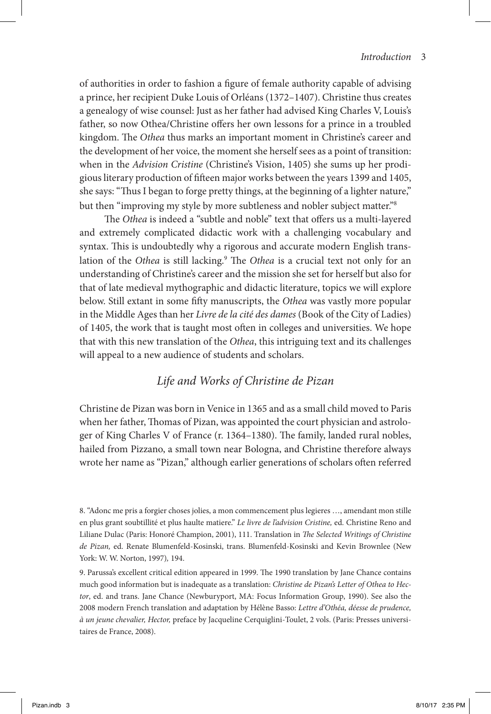of authorities in order to fashion a figure of female authority capable of advising a prince, her recipient Duke Louis of Orléans (1372–1407). Christine thus creates a genealogy of wise counsel: Just as her father had advised King Charles V, Louis's father, so now Othea/Christine offers her own lessons for a prince in a troubled kingdom. The *Othea* thus marks an important moment in Christine's career and the development of her voice, the moment she herself sees as a point of transition: when in the *Advision Cristine* (Christine's Vision, 1405) she sums up her prodigious literary production of fifteen major works between the years 1399 and 1405, she says: "Thus I began to forge pretty things, at the beginning of a lighter nature," but then "improving my style by more subtleness and nobler subject matter."8

The *Othea* is indeed a "subtle and noble" text that offers us a multi-layered and extremely complicated didactic work with a challenging vocabulary and syntax. This is undoubtedly why a rigorous and accurate modern English translation of the *Othea* is still lacking.<sup>9</sup> The *Othea* is a crucial text not only for an understanding of Christine's career and the mission she set for herself but also for that of late medieval mythographic and didactic literature, topics we will explore below. Still extant in some fifty manuscripts, the *Othea* was vastly more popular in the Middle Ages than her *Livre de la cité des dames* (Book of the City of Ladies) of 1405, the work that is taught most often in colleges and universities. We hope that with this new translation of the *Othea*, this intriguing text and its challenges will appeal to a new audience of students and scholars.

## *Life and Works of Christine de Pizan*

Christine de Pizan was born in Venice in 1365 and as a small child moved to Paris when her father, Thomas of Pizan, was appointed the court physician and astrologer of King Charles V of France (r. 1364–1380). The family, landed rural nobles, hailed from Pizzano, a small town near Bologna, and Christine therefore always wrote her name as "Pizan," although earlier generations of scholars often referred

9. Parussa's excellent critical edition appeared in 1999. The 1990 translation by Jane Chance contains much good information but is inadequate as a translation: *Christine de Pizan's Letter of Othea to Hector*, ed. and trans. Jane Chance (Newburyport, MA: Focus Information Group, 1990). See also the 2008 modern French translation and adaptation by Hélène Basso: *Lettre d'Othéa, déesse de prudence, à un jeune chevalier, Hector,* preface by Jacqueline Cerquiglini-Toulet, 2 vols. (Paris: Presses universitaires de France, 2008).

<sup>8. &</sup>quot;Adonc me pris a forgier choses jolies, a mon commencement plus legieres …, amendant mon stille en plus grant soubtillité et plus haulte matiere." *Le livre de l'advision Cristine,* ed*.* Christine Reno and Liliane Dulac (Paris: Honoré Champion, 2001), 111. Translation in *The Selected Writings of Christine de Pizan,* ed. Renate Blumenfeld-Kosinski, trans. Blumenfeld-Kosinski and Kevin Brownlee (New York: W. W. Norton, 1997)*,* 194.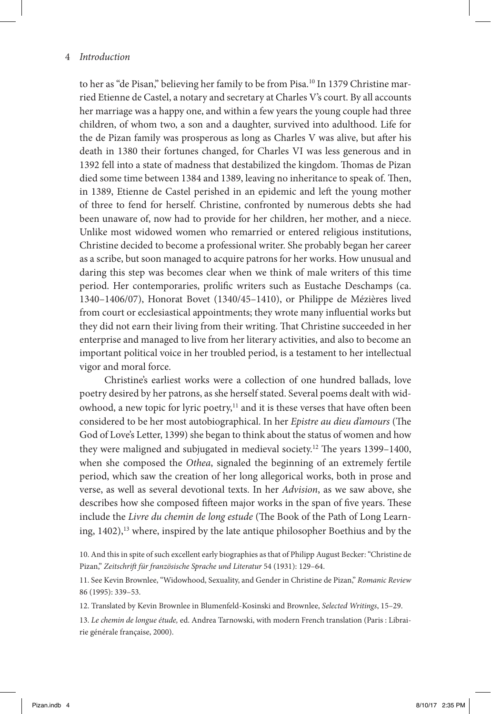### 4 *Introduction*

to her as "de Pisan," believing her family to be from Pisa.<sup>10</sup> In 1379 Christine married Etienne de Castel, a notary and secretary at Charles V's court. By all accounts her marriage was a happy one, and within a few years the young couple had three children, of whom two, a son and a daughter, survived into adulthood. Life for the de Pizan family was prosperous as long as Charles V was alive, but after his death in 1380 their fortunes changed, for Charles VI was less generous and in 1392 fell into a state of madness that destabilized the kingdom. Thomas de Pizan died some time between 1384 and 1389, leaving no inheritance to speak of. Then, in 1389, Etienne de Castel perished in an epidemic and left the young mother of three to fend for herself. Christine, confronted by numerous debts she had been unaware of, now had to provide for her children, her mother, and a niece. Unlike most widowed women who remarried or entered religious institutions, Christine decided to become a professional writer. She probably began her career as a scribe, but soon managed to acquire patrons for her works. How unusual and daring this step was becomes clear when we think of male writers of this time period. Her contemporaries, prolific writers such as Eustache Deschamps (ca. 1340–1406/07), Honorat Bovet (1340/45–1410), or Philippe de Mézières lived from court or ecclesiastical appointments; they wrote many influential works but they did not earn their living from their writing. That Christine succeeded in her enterprise and managed to live from her literary activities, and also to become an important political voice in her troubled period, is a testament to her intellectual vigor and moral force.

Christine's earliest works were a collection of one hundred ballads, love poetry desired by her patrons, as she herself stated. Several poems dealt with widowhood, a new topic for lyric poetry, $11$  and it is these verses that have often been considered to be her most autobiographical. In her *Epistre au dieu d'amours* (The God of Love's Letter, 1399) she began to think about the status of women and how they were maligned and subjugated in medieval society.12 The years 1399–1400, when she composed the *Othea*, signaled the beginning of an extremely fertile period, which saw the creation of her long allegorical works, both in prose and verse, as well as several devotional texts. In her *Advision*, as we saw above, she describes how she composed fifteen major works in the span of five years. These include the *Livre du chemin de long estude* (The Book of the Path of Long Learning, 1402),<sup>13</sup> where, inspired by the late antique philosopher Boethius and by the

12. Translated by Kevin Brownlee in Blumenfeld-Kosinski and Brownlee, *Selected Writings*, 15–29.

13. *Le chemin de longue étude,* ed. Andrea Tarnowski, with modern French translation (Paris : Librairie générale française, 2000).

<sup>10.</sup> And this in spite of such excellent early biographies as that of Philipp August Becker: "Christine de Pizan," *Zeitschrift für französische Sprache und Literatur* 54 (1931): 129–64.

<sup>11.</sup> See Kevin Brownlee, "Widowhood, Sexuality, and Gender in Christine de Pizan," *Romanic Review*  86 (1995): 339–53.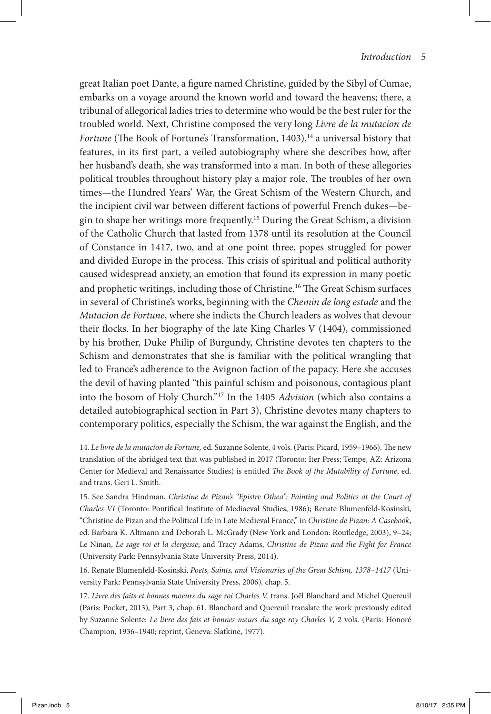great Italian poet Dante, a figure named Christine, guided by the Sibyl of Cumae, embarks on a voyage around the known world and toward the heavens; there, a tribunal of allegorical ladies tries to determine who would be the best ruler for the troubled world. Next, Christine composed the very long *Livre de la mutacion de Fortune* (The Book of Fortune's Transformation, 1403),<sup>14</sup> a universal history that features, in its first part, a veiled autobiography where she describes how, after her husband's death, she was transformed into a man. In both of these allegories political troubles throughout history play a major role. The troubles of her own times—the Hundred Years' War, the Great Schism of the Western Church, and the incipient civil war between different factions of powerful French dukes—begin to shape her writings more frequently.15 During the Great Schism, a division of the Catholic Church that lasted from 1378 until its resolution at the Council of Constance in 1417, two, and at one point three, popes struggled for power and divided Europe in the process. This crisis of spiritual and political authority caused widespread anxiety, an emotion that found its expression in many poetic and prophetic writings, including those of Christine.<sup>16</sup> The Great Schism surfaces in several of Christine's works, beginning with the *Chemin de long estude* and the *Mutacion de Fortune*, where she indicts the Church leaders as wolves that devour their flocks. In her biography of the late King Charles V (1404), commissioned by his brother, Duke Philip of Burgundy, Christine devotes ten chapters to the Schism and demonstrates that she is familiar with the political wrangling that led to France's adherence to the Avignon faction of the papacy. Here she accuses the devil of having planted "this painful schism and poisonous, contagious plant into the bosom of Holy Church."17 In the 1405 *Advision* (which also contains a detailed autobiographical section in Part 3), Christine devotes many chapters to contemporary politics, especially the Schism, the war against the English, and the

14. *Le livre de la mutacion de Fortune,* ed*.* Suzanne Solente, 4 vols. (Paris: Picard, 1959–1966). The new translation of the abridged text that was published in 2017 (Toronto: Iter Press; Tempe, AZ: Arizona Center for Medieval and Renaissance Studies) is entitled *The Book of the Mutability of Fortune*, ed. and trans. Geri L. Smith.

15. See Sandra Hindman, *Christine de Pizan's "Epistre Othea": Painting and Politics at the Court of Charles VI* (Toronto: Pontifical Institute of Mediaeval Studies, 1986); Renate Blumenfeld-Kosinski, "Christine de Pizan and the Political Life in Late Medieval France," in *Christine de Pizan: A Casebook*, ed. Barbara K. Altmann and Deborah L. McGrady (New York and London: Routledge, 2003), 9–24; Le Ninan, *Le sage roi et la clergesse*; and Tracy Adams, *Christine de Pizan and the Fight for France*  (University Park: Pennsylvania State University Press, 2014)*.*

16. Renate Blumenfeld-Kosinski, *Poets, Saints, and Visionaries of the Great Schism, 1378*–*1417* (University Park: Pennsylvania State University Press, 2006)*,* chap. 5.

17. Livre des faits et bonnes moeurs du sage roi Charles V, trans. Joël Blanchard and Michel Quereuil (Paris: Pocket, 2013)*,* Part 3, chap. 61. Blanchard and Quereuil translate the work previously edited by Suzanne Solente: *Le livre des fais et bonnes meurs du sage roy Charles V,* 2 vols. (Paris: Honoré Champion, 1936–1940; reprint, Geneva: Slatkine, 1977).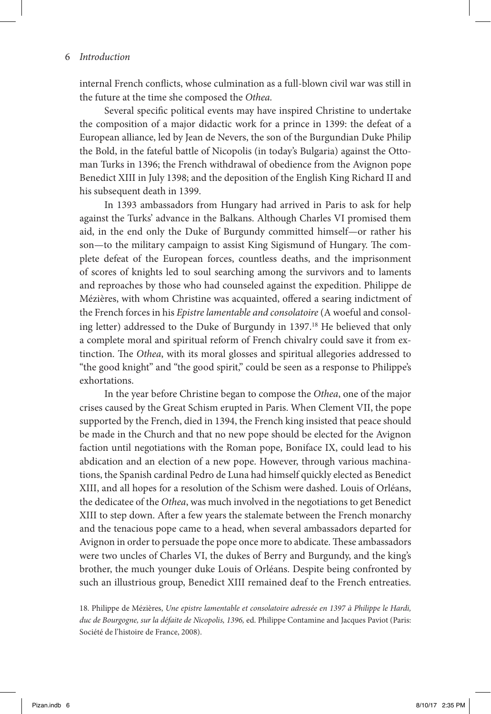internal French conflicts, whose culmination as a full-blown civil war was still in the future at the time she composed the *Othea.* 

Several specific political events may have inspired Christine to undertake the composition of a major didactic work for a prince in 1399: the defeat of a European alliance, led by Jean de Nevers, the son of the Burgundian Duke Philip the Bold, in the fateful battle of Nicopolis (in today's Bulgaria) against the Ottoman Turks in 1396; the French withdrawal of obedience from the Avignon pope Benedict XIII in July 1398; and the deposition of the English King Richard II and his subsequent death in 1399.

In 1393 ambassadors from Hungary had arrived in Paris to ask for help against the Turks' advance in the Balkans. Although Charles VI promised them aid, in the end only the Duke of Burgundy committed himself—or rather his son—to the military campaign to assist King Sigismund of Hungary. The complete defeat of the European forces, countless deaths, and the imprisonment of scores of knights led to soul searching among the survivors and to laments and reproaches by those who had counseled against the expedition. Philippe de Mézières, with whom Christine was acquainted, offered a searing indictment of the French forces in his *Epistre lamentable and consolatoire* (A woeful and consoling letter) addressed to the Duke of Burgundy in 1397.<sup>18</sup> He believed that only a complete moral and spiritual reform of French chivalry could save it from extinction. The *Othea*, with its moral glosses and spiritual allegories addressed to "the good knight" and "the good spirit," could be seen as a response to Philippe's exhortations.

In the year before Christine began to compose the *Othea*, one of the major crises caused by the Great Schism erupted in Paris. When Clement VII, the pope supported by the French, died in 1394, the French king insisted that peace should be made in the Church and that no new pope should be elected for the Avignon faction until negotiations with the Roman pope, Boniface IX, could lead to his abdication and an election of a new pope. However, through various machinations, the Spanish cardinal Pedro de Luna had himself quickly elected as Benedict XIII, and all hopes for a resolution of the Schism were dashed. Louis of Orléans, the dedicatee of the *Othea*, was much involved in the negotiations to get Benedict XIII to step down. After a few years the stalemate between the French monarchy and the tenacious pope came to a head, when several ambassadors departed for Avignon in order to persuade the pope once more to abdicate. These ambassadors were two uncles of Charles VI, the dukes of Berry and Burgundy, and the king's brother, the much younger duke Louis of Orléans. Despite being confronted by such an illustrious group, Benedict XIII remained deaf to the French entreaties.

18. Philippe de Mézières, *Une epistre lamentable et consolatoire adressée en 1397 à Philippe le Hardi, duc de Bourgogne, sur la défaite de Nicopolis, 1396,* ed. Philippe Contamine and Jacques Paviot (Paris: Société de l'histoire de France, 2008).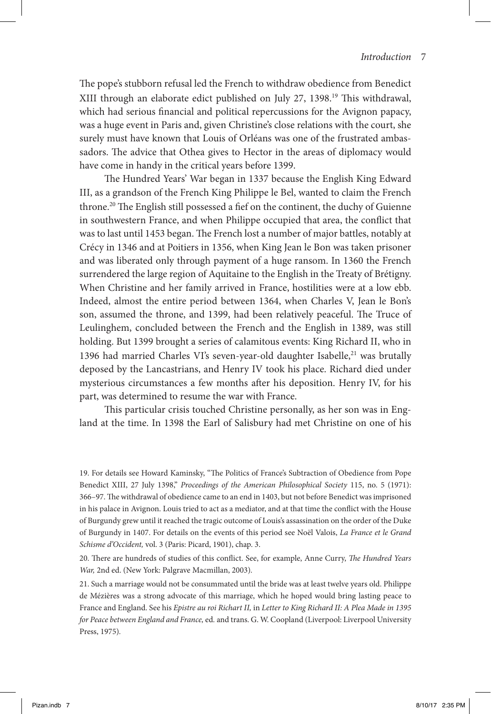The pope's stubborn refusal led the French to withdraw obedience from Benedict XIII through an elaborate edict published on July 27, 1398.19 This withdrawal, which had serious financial and political repercussions for the Avignon papacy, was a huge event in Paris and, given Christine's close relations with the court, she surely must have known that Louis of Orléans was one of the frustrated ambassadors. The advice that Othea gives to Hector in the areas of diplomacy would have come in handy in the critical years before 1399.

The Hundred Years' War began in 1337 because the English King Edward III, as a grandson of the French King Philippe le Bel, wanted to claim the French throne.<sup>20</sup> The English still possessed a fief on the continent, the duchy of Guienne in southwestern France, and when Philippe occupied that area, the conflict that was to last until 1453 began. The French lost a number of major battles, notably at Crécy in 1346 and at Poitiers in 1356, when King Jean le Bon was taken prisoner and was liberated only through payment of a huge ransom. In 1360 the French surrendered the large region of Aquitaine to the English in the Treaty of Brétigny. When Christine and her family arrived in France, hostilities were at a low ebb. Indeed, almost the entire period between 1364, when Charles V, Jean le Bon's son, assumed the throne, and 1399, had been relatively peaceful. The Truce of Leulinghem, concluded between the French and the English in 1389, was still holding. But 1399 brought a series of calamitous events: King Richard II, who in 1396 had married Charles VI's seven-year-old daughter Isabelle,<sup>21</sup> was brutally deposed by the Lancastrians, and Henry IV took his place. Richard died under mysterious circumstances a few months after his deposition. Henry IV, for his part, was determined to resume the war with France.

This particular crisis touched Christine personally, as her son was in England at the time. In 1398 the Earl of Salisbury had met Christine on one of his

19. For details see Howard Kaminsky, "The Politics of France's Subtraction of Obedience from Pope Benedict XIII, 27 July 1398," *Proceedings of the American Philosophical Society* 115, no. 5 (1971): 366–97. The withdrawal of obedience came to an end in 1403, but not before Benedict was imprisoned in his palace in Avignon. Louis tried to act as a mediator, and at that time the conflict with the House of Burgundy grew until it reached the tragic outcome of Louis's assassination on the order of the Duke of Burgundy in 1407. For details on the events of this period see Noël Valois, *La France et le Grand Schisme d'Occident,* vol. 3 (Paris: Picard, 1901), chap. 3.

20. There are hundreds of studies of this conflict. See, for example, Anne Curry, *The Hundred Years War,* 2nd ed. (New York: Palgrave Macmillan, 2003)*.* 

21. Such a marriage would not be consummated until the bride was at least twelve years old. Philippe de Mézières was a strong advocate of this marriage, which he hoped would bring lasting peace to France and England. See his *Epistre au roi Richart II,* in *Letter to King Richard II: A Plea Made in 1395 for Peace between England and France,* ed*.* and trans. G. W. Coopland (Liverpool: Liverpool University Press, 1975)*.*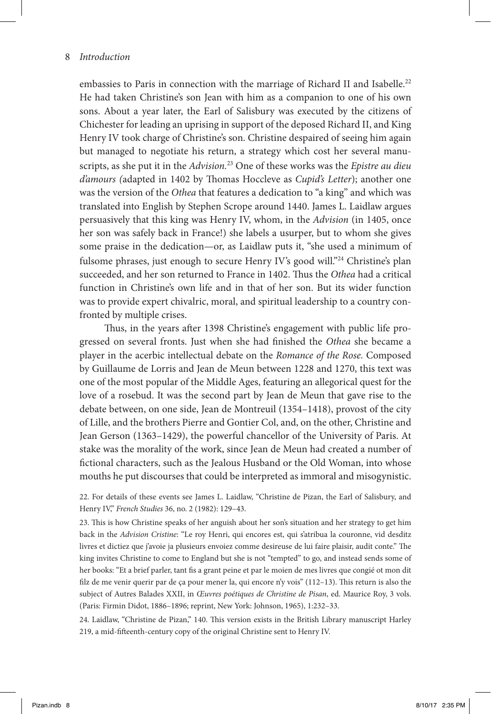embassies to Paris in connection with the marriage of Richard II and Isabelle.<sup>22</sup> He had taken Christine's son Jean with him as a companion to one of his own sons. About a year later, the Earl of Salisbury was executed by the citizens of Chichester for leading an uprising in support of the deposed Richard II, and King Henry IV took charge of Christine's son. Christine despaired of seeing him again but managed to negotiate his return, a strategy which cost her several manuscripts, as she put it in the *Advision.*<sup>23</sup> One of these works was the *Epistre au dieu d'amours (*adapted in 1402 by Thomas Hoccleve as *Cupid's Letter*); another one was the version of the *Othea* that features a dedication to "a king" and which was translated into English by Stephen Scrope around 1440. James L. Laidlaw argues persuasively that this king was Henry IV, whom, in the *Advision* (in 1405, once her son was safely back in France!) she labels a usurper, but to whom she gives some praise in the dedication—or, as Laidlaw puts it, "she used a minimum of fulsome phrases, just enough to secure Henry IV's good will."24 Christine's plan succeeded, and her son returned to France in 1402. Thus the *Othea* had a critical function in Christine's own life and in that of her son. But its wider function was to provide expert chivalric, moral, and spiritual leadership to a country confronted by multiple crises.

Thus, in the years after 1398 Christine's engagement with public life progressed on several fronts. Just when she had finished the *Othea* she became a player in the acerbic intellectual debate on the *Romance of the Rose.* Composed by Guillaume de Lorris and Jean de Meun between 1228 and 1270, this text was one of the most popular of the Middle Ages, featuring an allegorical quest for the love of a rosebud. It was the second part by Jean de Meun that gave rise to the debate between, on one side, Jean de Montreuil (1354–1418), provost of the city of Lille, and the brothers Pierre and Gontier Col, and, on the other, Christine and Jean Gerson (1363–1429), the powerful chancellor of the University of Paris. At stake was the morality of the work, since Jean de Meun had created a number of fictional characters, such as the Jealous Husband or the Old Woman, into whose mouths he put discourses that could be interpreted as immoral and misogynistic.

22. For details of these events see James L. Laidlaw, "Christine de Pizan, the Earl of Salisbury, and Henry IV," *French Studies* 36, no. 2 (1982): 129–43.

23. This is how Christine speaks of her anguish about her son's situation and her strategy to get him back in the *Advision Cristine*: "Le roy Henri, qui encores est, qui s'atribua la couronne, vid desditz livres et dictiez que j'avoie ja plusieurs envoiez comme desireuse de lui faire plaisir, audit conte." The king invites Christine to come to England but she is not "tempted" to go, and instead sends some of her books: "Et a brief parler, tant fis a grant peine et par le moien de mes livres que congié ot mon dit filz de me venir querir par de ça pour mener la, qui encore n'y vois" (112–13). This return is also the subject of Autres Balades XXII, in *Œuvres poétiques de Christine de Pisan*, ed. Maurice Roy, 3 vols. (Paris: Firmin Didot, 1886–1896; reprint, New York: Johnson, 1965), 1:232–33.

24. Laidlaw, "Christine de Pizan," 140. This version exists in the British Library manuscript Harley 219, a mid-fifteenth-century copy of the original Christine sent to Henry IV.